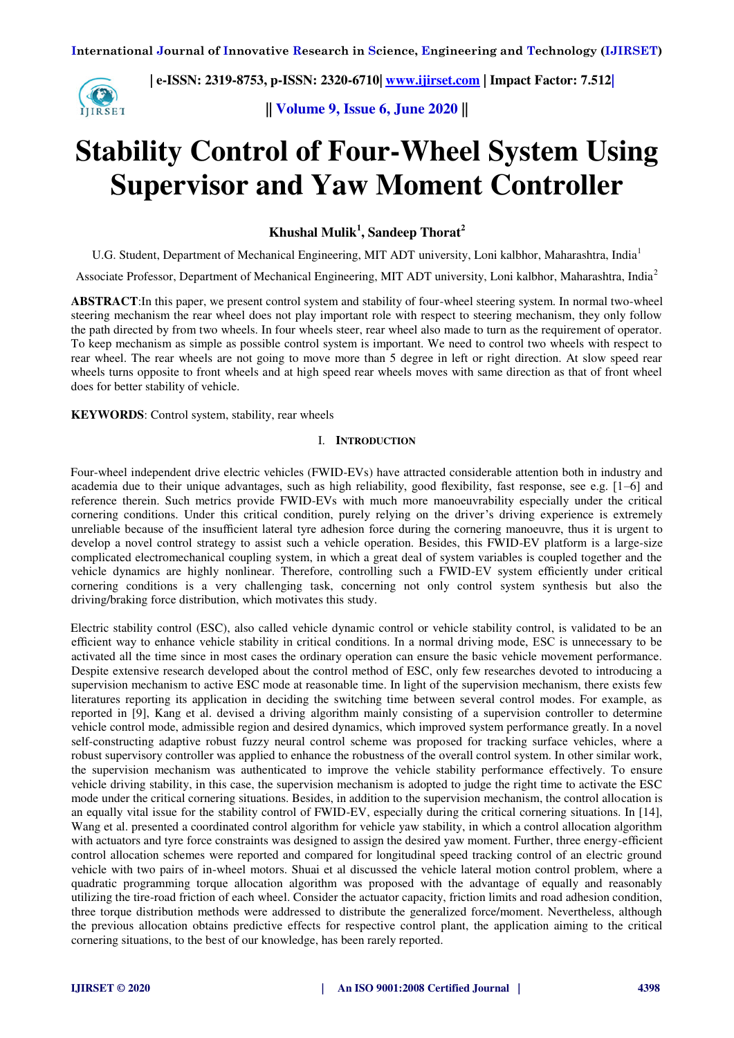œ **IIRSET**   **| e-ISSN: 2319-8753, p-ISSN: 2320-6710| [www.ijirset.com](http://www.ijirset.com/) | Impact Factor: 7.512|**

**|| Volume 9, Issue 6, June 2020 ||** 

# **Stability Control of Four-Wheel System Using Supervisor and Yaw Moment Controller**

**Khushal Mulik<sup>1</sup> , Sandeep Thorat<sup>2</sup>**

U.G. Student, Department of Mechanical Engineering, MIT ADT university, Loni kalbhor, Maharashtra, India<sup>1</sup>

Associate Professor, Department of Mechanical Engineering, MIT ADT university, Loni kalbhor, Maharashtra, India<sup>2</sup>

**ABSTRACT**:In this paper, we present control system and stability of four-wheel steering system. In normal two-wheel steering mechanism the rear wheel does not play important role with respect to steering mechanism, they only follow the path directed by from two wheels. In four wheels steer, rear wheel also made to turn as the requirement of operator. To keep mechanism as simple as possible control system is important. We need to control two wheels with respect to rear wheel. The rear wheels are not going to move more than 5 degree in left or right direction. At slow speed rear wheels turns opposite to front wheels and at high speed rear wheels moves with same direction as that of front wheel does for better stability of vehicle.

**KEYWORDS**: Control system, stability, rear wheels

## I. **INTRODUCTION**

Four-wheel independent drive electric vehicles (FWID-EVs) have attracted considerable attention both in industry and academia due to their unique advantages, such as high reliability, good flexibility, fast response, see e.g. [1–6] and reference therein. Such metrics provide FWID-EVs with much more manoeuvrability especially under the critical cornering conditions. Under this critical condition, purely relying on the driver's driving experience is extremely unreliable because of the insufficient lateral tyre adhesion force during the cornering manoeuvre, thus it is urgent to develop a novel control strategy to assist such a vehicle operation. Besides, this FWID-EV platform is a large-size complicated electromechanical coupling system, in which a great deal of system variables is coupled together and the vehicle dynamics are highly nonlinear. Therefore, controlling such a FWID-EV system efficiently under critical cornering conditions is a very challenging task, concerning not only control system synthesis but also the driving/braking force distribution, which motivates this study.

Electric stability control (ESC), also called vehicle dynamic control or vehicle stability control, is validated to be an efficient way to enhance vehicle stability in critical conditions. In a normal driving mode, ESC is unnecessary to be activated all the time since in most cases the ordinary operation can ensure the basic vehicle movement performance. Despite extensive research developed about the control method of ESC, only few researches devoted to introducing a supervision mechanism to active ESC mode at reasonable time. In light of the supervision mechanism, there exists few literatures reporting its application in deciding the switching time between several control modes. For example, as reported in [9], Kang et al. devised a driving algorithm mainly consisting of a supervision controller to determine vehicle control mode, admissible region and desired dynamics, which improved system performance greatly. In a novel self-constructing adaptive robust fuzzy neural control scheme was proposed for tracking surface vehicles, where a robust supervisory controller was applied to enhance the robustness of the overall control system. In other similar work, the supervision mechanism was authenticated to improve the vehicle stability performance effectively. To ensure vehicle driving stability, in this case, the supervision mechanism is adopted to judge the right time to activate the ESC mode under the critical cornering situations. Besides, in addition to the supervision mechanism, the control allocation is an equally vital issue for the stability control of FWID-EV, especially during the critical cornering situations. In [14], Wang et al. presented a coordinated control algorithm for vehicle yaw stability, in which a control allocation algorithm with actuators and tyre force constraints was designed to assign the desired yaw moment. Further, three energy-efficient control allocation schemes were reported and compared for longitudinal speed tracking control of an electric ground vehicle with two pairs of in-wheel motors. Shuai et al discussed the vehicle lateral motion control problem, where a quadratic programming torque allocation algorithm was proposed with the advantage of equally and reasonably utilizing the tire-road friction of each wheel. Consider the actuator capacity, friction limits and road adhesion condition, three torque distribution methods were addressed to distribute the generalized force/moment. Nevertheless, although the previous allocation obtains predictive effects for respective control plant, the application aiming to the critical cornering situations, to the best of our knowledge, has been rarely reported.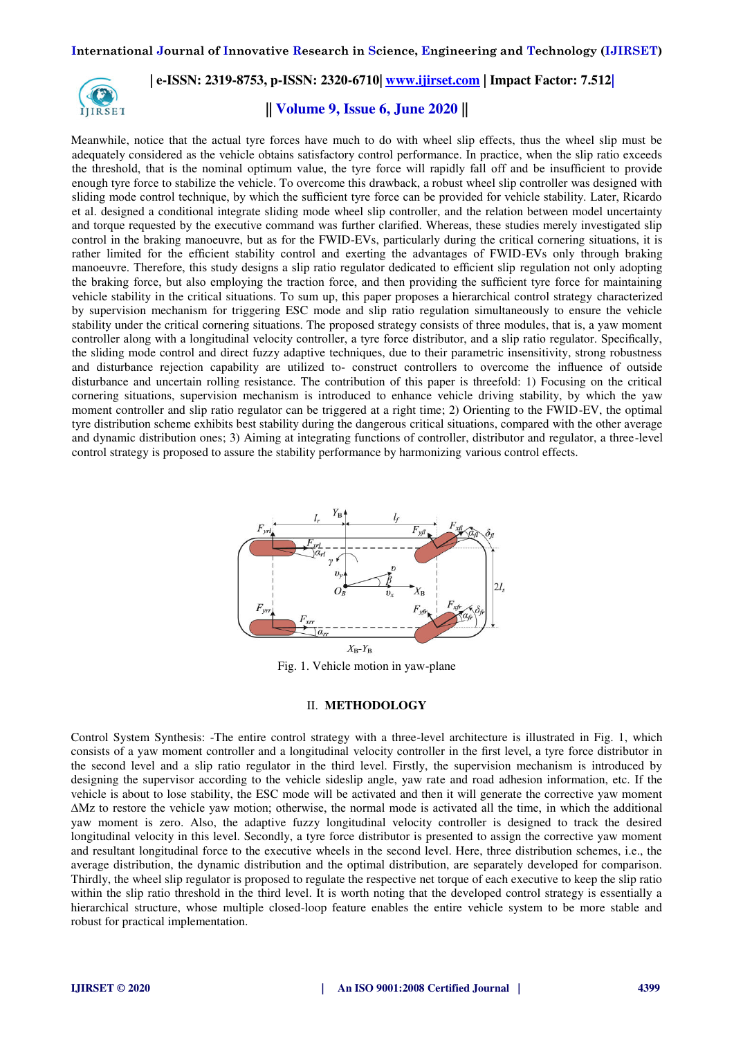

# **|| Volume 9, Issue 6, June 2020 ||**

Meanwhile, notice that the actual tyre forces have much to do with wheel slip effects, thus the wheel slip must be adequately considered as the vehicle obtains satisfactory control performance. In practice, when the slip ratio exceeds the threshold, that is the nominal optimum value, the tyre force will rapidly fall off and be insufficient to provide enough tyre force to stabilize the vehicle. To overcome this drawback, a robust wheel slip controller was designed with sliding mode control technique, by which the sufficient tyre force can be provided for vehicle stability. Later, Ricardo et al. designed a conditional integrate sliding mode wheel slip controller, and the relation between model uncertainty and torque requested by the executive command was further clarified. Whereas, these studies merely investigated slip control in the braking manoeuvre, but as for the FWID-EVs, particularly during the critical cornering situations, it is rather limited for the efficient stability control and exerting the advantages of FWID-EVs only through braking manoeuvre. Therefore, this study designs a slip ratio regulator dedicated to efficient slip regulation not only adopting the braking force, but also employing the traction force, and then providing the sufficient tyre force for maintaining vehicle stability in the critical situations. To sum up, this paper proposes a hierarchical control strategy characterized by supervision mechanism for triggering ESC mode and slip ratio regulation simultaneously to ensure the vehicle stability under the critical cornering situations. The proposed strategy consists of three modules, that is, a yaw moment controller along with a longitudinal velocity controller, a tyre force distributor, and a slip ratio regulator. Specifically, the sliding mode control and direct fuzzy adaptive techniques, due to their parametric insensitivity, strong robustness and disturbance rejection capability are utilized to- construct controllers to overcome the influence of outside disturbance and uncertain rolling resistance. The contribution of this paper is threefold: 1) Focusing on the critical cornering situations, supervision mechanism is introduced to enhance vehicle driving stability, by which the yaw moment controller and slip ratio regulator can be triggered at a right time; 2) Orienting to the FWID-EV, the optimal tyre distribution scheme exhibits best stability during the dangerous critical situations, compared with the other average and dynamic distribution ones; 3) Aiming at integrating functions of controller, distributor and regulator, a three-level control strategy is proposed to assure the stability performance by harmonizing various control effects.



Fig. 1. Vehicle motion in yaw-plane

#### II. **METHODOLOGY**

Control System Synthesis: -The entire control strategy with a three-level architecture is illustrated in Fig. 1, which consists of a yaw moment controller and a longitudinal velocity controller in the first level, a tyre force distributor in the second level and a slip ratio regulator in the third level. Firstly, the supervision mechanism is introduced by designing the supervisor according to the vehicle sideslip angle, yaw rate and road adhesion information, etc. If the vehicle is about to lose stability, the ESC mode will be activated and then it will generate the corrective yaw moment ∆Mz to restore the vehicle yaw motion; otherwise, the normal mode is activated all the time, in which the additional yaw moment is zero. Also, the adaptive fuzzy longitudinal velocity controller is designed to track the desired longitudinal velocity in this level. Secondly, a tyre force distributor is presented to assign the corrective yaw moment and resultant longitudinal force to the executive wheels in the second level. Here, three distribution schemes, i.e., the average distribution, the dynamic distribution and the optimal distribution, are separately developed for comparison. Thirdly, the wheel slip regulator is proposed to regulate the respective net torque of each executive to keep the slip ratio within the slip ratio threshold in the third level. It is worth noting that the developed control strategy is essentially a hierarchical structure, whose multiple closed-loop feature enables the entire vehicle system to be more stable and robust for practical implementation.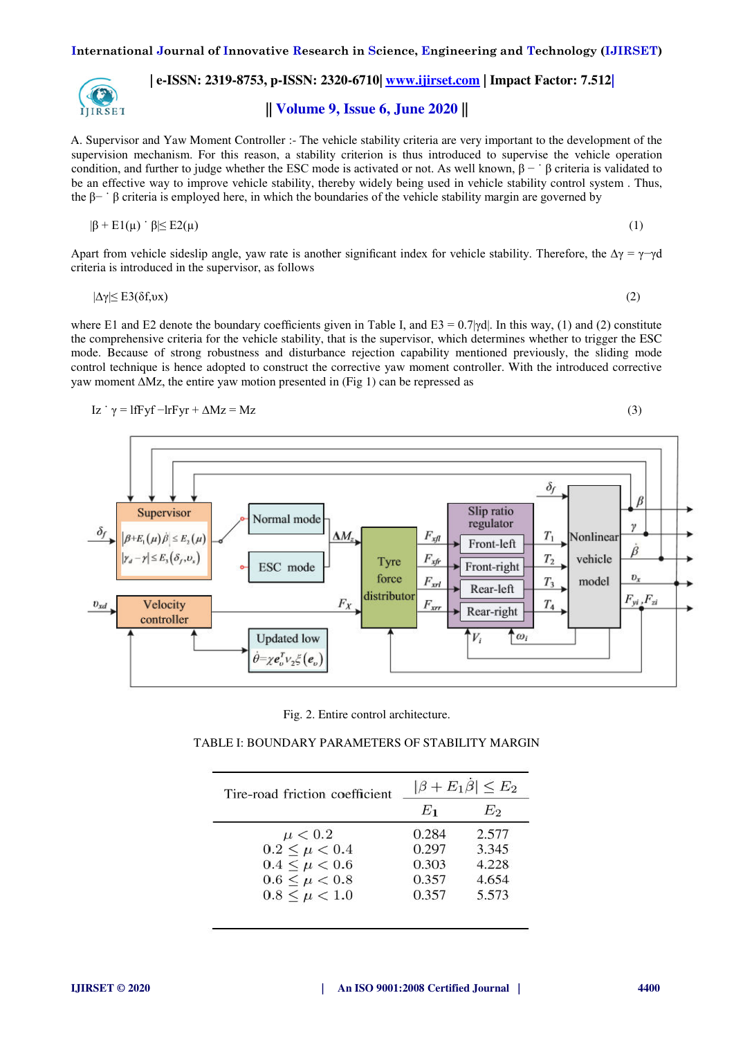

**|| Volume 9, Issue 6, June 2020 ||** 

A. Supervisor and Yaw Moment Controller :- The vehicle stability criteria are very important to the development of the supervision mechanism. For this reason, a stability criterion is thus introduced to supervise the vehicle operation condition, and further to judge whether the ESC mode is activated or not. As well known,  $\beta - \beta$  criteria is validated to be an effective way to improve vehicle stability, thereby widely being used in vehicle stability control system . Thus, the β− ˙ β criteria is employed here, in which the boundaries of the vehicle stability margin are governed by

$$
|\beta + \mathrm{E1}(\mu) \cdot \beta| \leq \mathrm{E2}(\mu) \tag{1}
$$

Apart from vehicle sideslip angle, yaw rate is another significant index for vehicle stability. Therefore, the  $\Delta \gamma = \gamma - \gamma d$ criteria is introduced in the supervisor, as follows

$$
|\Delta \gamma| \le \text{E3}(\delta \mathbf{f}, \mathbf{u}\mathbf{x}) \tag{2}
$$

where E1 and E2 denote the boundary coefficients given in Table I, and E3 =  $0.7$ | $\gamma$ d|. In this way, (1) and (2) constitute the comprehensive criteria for the vehicle stability, that is the supervisor, which determines whether to trigger the ESC mode. Because of strong robustness and disturbance rejection capability mentioned previously, the sliding mode control technique is hence adopted to construct the corrective yaw moment controller. With the introduced corrective yaw moment ∆Mz, the entire yaw motion presented in (Fig 1) can be repressed as

$$
Iz \dot{\gamma} = Iffyf - IrFyr + \Delta Mz = Mz \tag{3}
$$



Fig. 2. Entire control architecture.

|--|

| Tire-road friction coefficient | $ \beta + E_1\dot{\beta}  \leq E_2$ |       |
|--------------------------------|-------------------------------------|-------|
|                                | $E_1$                               | Eэ    |
| $\mu < 0.2$                    | 0.284                               | 2.577 |
| $0.2 \leq \mu < 0.4$           | 0.297                               | 3.345 |
| $0.4 \leq \mu < 0.6$           | 0.303                               | 4.228 |
| $0.6 \leq \mu < 0.8$           | 0.357                               | 4.654 |
| $0.8 \leq \mu < 1.0$           | 0.357                               | 5.573 |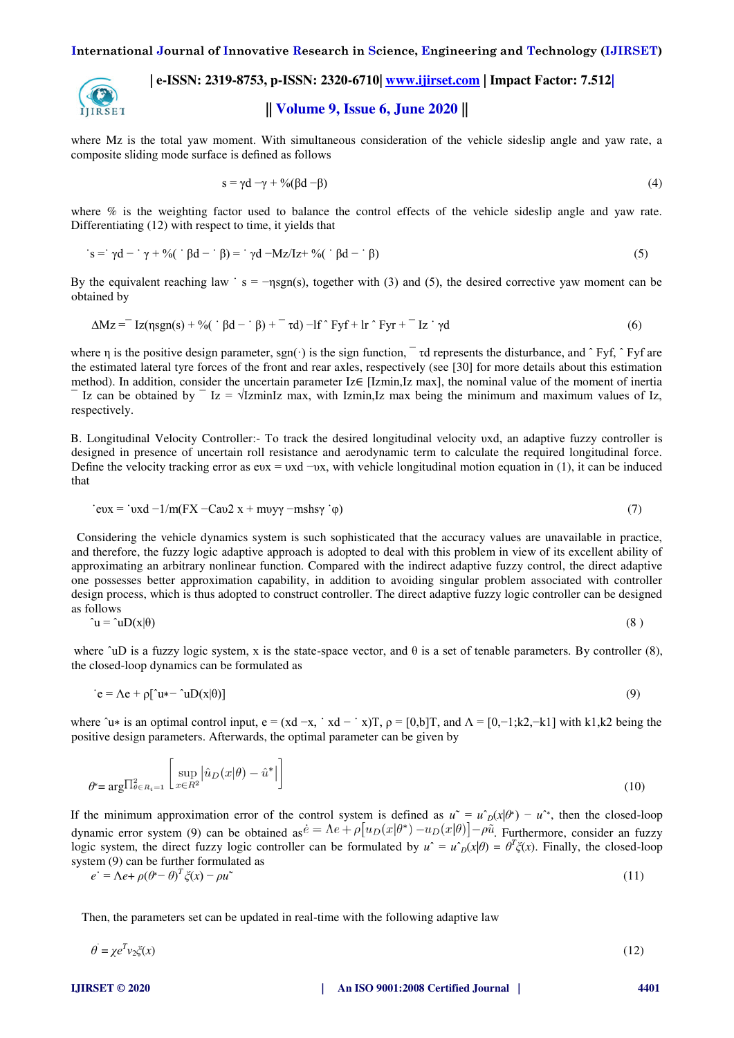

**|| Volume 9, Issue 6, June 2020 ||** 

where Mz is the total yaw moment. With simultaneous consideration of the vehicle sideslip angle and yaw rate, a composite sliding mode surface is defined as follows

$$
s = \gamma d - \gamma + \%(\beta d - \beta) \tag{4}
$$

where % is the weighting factor used to balance the control effects of the vehicle sideslip angle and yaw rate. Differentiating (12) with respect to time, it yields that

$$
s = \gamma d - \gamma + \% \left( \beta d - \beta \right) = \gamma d - Mz / Iz + \% \left( \beta d - \beta \right)
$$
 (5)

By the equivalent reaching law  $\cdot$  s = -nsgn(s), together with (3) and (5), the desired corrective yaw moment can be obtained by

$$
\Delta M z = Iz(\eta s g n(s) + \%(\dot{\beta} d - \dot{\beta}) + \dot{\tau} d) - If \hat{f} f + Ir \hat{f} y r + Iz \hat{f} d
$$
\n(6)

where  $\eta$  is the positive design parameter, sgn( $\cdot$ ) is the sign function,  $\tau$  d represents the disturbance, and  $\hat{ }\;$  Fyf,  $\hat{ }\;$  Fyf are the estimated lateral tyre forces of the front and rear axles, respectively (see [30] for more details about this estimation method). In addition, consider the uncertain parameter Iz∈ [Izmin,Iz max], the nominal value of the moment of inertia Iz can be obtained by  $\overline{z} = \sqrt{z}$  IzminIz max, with Izmin,Iz max being the minimum and maximum values of Iz, respectively.

B. Longitudinal Velocity Controller:- To track the desired longitudinal velocity υxd, an adaptive fuzzy controller is designed in presence of uncertain roll resistance and aerodynamic term to calculate the required longitudinal force. Define the velocity tracking error as eux = υxd −υx, with vehicle longitudinal motion equation in (1), it can be induced that

$$
cvx = vxd - 1/m(FX - Cav2 x + mvy\gamma - mshsy' \varphi)
$$
\n(7)

 Considering the vehicle dynamics system is such sophisticated that the accuracy values are unavailable in practice, and therefore, the fuzzy logic adaptive approach is adopted to deal with this problem in view of its excellent ability of approximating an arbitrary nonlinear function. Compared with the indirect adaptive fuzzy control, the direct adaptive one possesses better approximation capability, in addition to avoiding singular problem associated with controller design process, which is thus adopted to construct controller. The direct adaptive fuzzy logic controller can be designed as follows

$$
\hat{u} = \hat{u}D(x|\theta) \tag{8}
$$

where  $\hat{u}$ D is a fuzzy logic system, x is the state-space vector, and  $\theta$  is a set of tenable parameters. By controller (8), the closed-loop dynamics can be formulated as

$$
\dot{\mathbf{e}} = \Lambda \mathbf{e} + \rho [\hat{\mathbf{u}} \cdot \hat{\mathbf{u}} \cdot \mathbf{D}(\mathbf{x}|\theta)] \tag{9}
$$

where  $\hat{u}$ ∗ is an optimal control input, e = (xd -x, ˙ xd - ˙ x)T,  $\rho = [0, b]T$ , and  $\Lambda = [0, -1; k2, -k1]$  with k1,k2 being the positive design parameters. Afterwards, the optimal parameter can be given by

$$
\theta^* = \arg \prod_{\theta \in R_i = 1}^2 \left[ \sup_{x \in R^2} \left| \hat{u}_D(x|\theta) - \hat{u}^* \right| \right] \tag{10}
$$

If the minimum approximation error of the control system is defined as  $u^* = u_D(x|\theta^*) - u^*$ , then the closed-loop dynamic error system (9) can be obtained as  $\vec{e} = \Lambda e + \rho [u_D(x|\theta^*) - u_D(x|\theta)] - \rho \tilde{u}$ . Furthermore, consider an fuzzy logic system, the direct fuzzy logic controller can be formulated by  $u^{\hat{}} = u^{\hat{}}_D(x|\theta) = \theta^T \zeta(x)$ . Finally, the closed-loop system (9) can be further formulated as

$$
e^{\cdot} = \Lambda e + \rho(\theta^* - \theta)^T \zeta(x) - \rho u^* \tag{11}
$$

Then, the parameters set can be updated in real-time with the following adaptive law

$$
\theta = \chi e^T v_2 \xi(x) \tag{12}
$$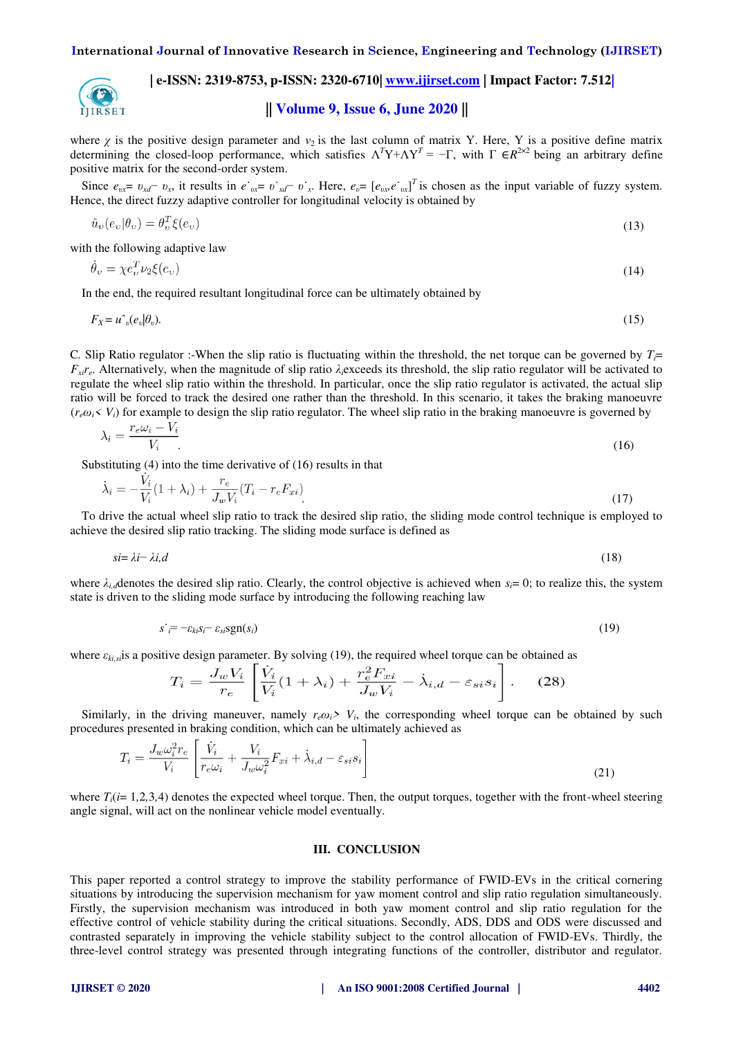

**|| Volume 9, Issue 6, June 2020 ||** 

where  $\chi$  is the positive design parameter and  $v_2$  is the last column of matrix Y. Here, Y is a positive define matrix determining the closed-loop performance, which satisfies  $\Lambda^T Y + \Lambda Y^T = -\Gamma$ , with  $\Gamma \in R^{2 \times 2}$  being an arbitrary define positive matrix for the second-order system.

Since  $e_{\alpha x} = v_{x} - v_x$ , it results in  $e_{\alpha x} = v_{x} - v_x$ . Here,  $e_v = [e_{\alpha x} e_{\alpha x}]^T$  is chosen as the input variable of fuzzy system. Hence, the direct fuzzy adaptive controller for longitudinal velocity is obtained by

$$
\hat{u}_v(e_v|\theta_v) = \theta_v^T \xi(e_v) \tag{13}
$$

with the following adaptive law

$$
\dot{\theta}_v = \chi e_v^T \nu_2 \xi(e_v) \tag{14}
$$

In the end, the required resultant longitudinal force can be ultimately obtained by

$$
F_X = u^{\hat{}}_v(e_v|\theta_v). \tag{15}
$$

C. Slip Ratio regulator :-When the slip ratio is fluctuating within the threshold, the net torque can be governed by  $T_i$ =  $F_{\rm xif}$ <sup> $\epsilon$ </sup>. Alternatively, when the magnitude of slip ratio  $\lambda_i$ exceeds its threshold, the slip ratio regulator will be activated to regulate the wheel slip ratio within the threshold. In particular, once the slip ratio regulator is activated, the actual slip ratio will be forced to track the desired one rather than the threshold. In this scenario, it takes the braking manoeuvre  $(r_e\omega_i \le V_i)$  for example to design the slip ratio regulator. The wheel slip ratio in the braking manoeuvre is governed by

$$
\lambda_i = \frac{r_e \omega_i - V_i}{V_i} \tag{16}
$$

Substituting (4) into the time derivative of (16) results in that

$$
\dot{\lambda}_i = -\frac{V_i}{V_i}(1 + \lambda_i) + \frac{r_e}{J_w V_i}(T_i - r_e F_{xi})
$$
\n(17)

To drive the actual wheel slip ratio to track the desired slip ratio, the sliding mode control technique is employed to achieve the desired slip ratio tracking. The sliding mode surface is defined as

$$
si = \lambda i - \lambda i, d \tag{18}
$$

where  $\lambda_i$ <sub>*id*</sub> denotes the desired slip ratio. Clearly, the control objective is achieved when  $s_i = 0$ ; to realize this, the system state is driven to the sliding mode surface by introducing the following reaching law

$$
s \stackrel{\text{.}}{=} -\varepsilon_{ki} s_i - \varepsilon_{si} \text{sgn}(s_i) \tag{19}
$$

where *εki,si*is a positive design parameter. By solving (19), the required wheel torque can be obtained as

$$
T_i = \frac{J_w V_i}{r_e} \left[ \frac{V_i}{V_i} (1 + \lambda_i) + \frac{r_e^2 F_{xi}}{J_w V_i} - \dot{\lambda}_{i,d} - \varepsilon_{si} s_i \right].
$$
 (28)

Similarly, in the driving maneuver, namely  $r_e \omega_i$ <sup>*> V<sub>i</sub>*, the corresponding wheel torque can be obtained by such</sup> procedures presented in braking condition, which can be ultimately achieved as

$$
T_i = \frac{J_w \omega_i^2 r_e}{V_i} \left[ \frac{V_i}{r_e \omega_i} + \frac{V_i}{J_w \omega_i^2} F_{xi} + \dot{\lambda}_{i,d} - \varepsilon_{si} s_i \right]
$$
(21)

where  $T_i(i=1,2,3,4)$  denotes the expected wheel torque. Then, the output torques, together with the front-wheel steering angle signal, will act on the nonlinear vehicle model eventually.

#### **III. CONCLUSION**

This paper reported a control strategy to improve the stability performance of FWID-EVs in the critical cornering situations by introducing the supervision mechanism for yaw moment control and slip ratio regulation simultaneously. Firstly, the supervision mechanism was introduced in both yaw moment control and slip ratio regulation for the effective control of vehicle stability during the critical situations. Secondly, ADS, DDS and ODS were discussed and contrasted separately in improving the vehicle stability subject to the control allocation of FWID-EVs. Thirdly, the three-level control strategy was presented through integrating functions of the controller, distributor and regulator.